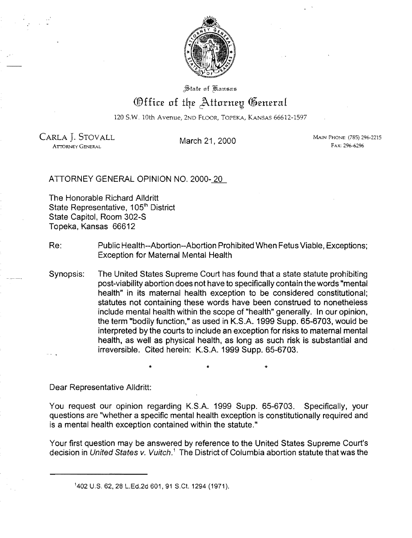

State of Kansas

## Office of the Attorney General

120 S.W. lOth Avenue, 2ND FLOOR, TOPEKA, KANSAS 66612-1597

**ATTORNEY GENERAL** 

CARLA J. STOVALL March 21, 2000 Main Phone: (785) 296-2215<br>ATTORNEY GENERAL FAX: 299-6296

ATTORNEY GENERAL OPINION NO. 2000-20

The Honorable Richard Alldritt State Representative, 105<sup>th</sup> District State Capitol, Room 302-S Topeka, Kansas 66612

- Re: Public Health--Abortion--Abortion Prohibited When Fetus Viable, Exceptions; Exception for Maternal Mental Health
- Synopsis: The United States Supreme Court has found that a state statute prohibiting post-viability abortion does not have to specifically contain the words "mental health" in its maternal health exception to be considered constitutional; statutes not containing these words have been construed to nonetheless include mental health within the scope of "health" generally. In our opinion, the term "bodily function," as used in K.S.A. 1999 Supp. 65-6703, would be interpreted by the courts to include an exception for risks to maternal mental health, as well as physical health, as long as such risk is substantial and irreversible. Cited herein: K.S.A. 1999 Supp. 65-6703.

 $\star$   $\star$   $\star$ 

Dear Representative Alldritt:

You request our opinion regarding K.S.A. 1999 Supp. 65-6703. Specifically, your questions are "whether a specific mental health exception is constitutionally required and is a mental health exception contained within the statute."

Your first question may be answered by reference to the United States Supreme Court's decision in United States v. Vuitch.<sup>1</sup> The District of Columbia abortion statute that was the

<sup>&#</sup>x27;402 U.S. 62. 28 L.Ed.2d 601. 91 S.Ct 1294 (1971).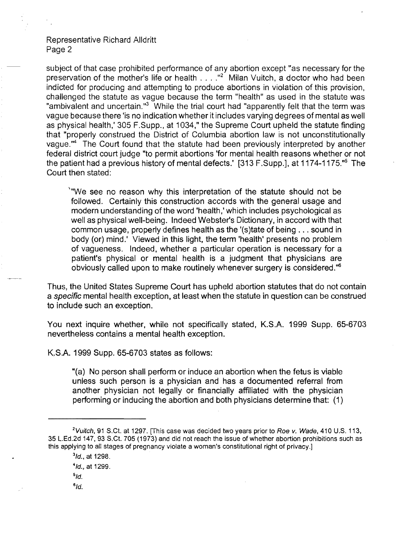## Representative Richard Alldritt Page 2

subject of that case prohibited performance of any abortion except "as necessary for the preservation of the mother's life or health ...."<sup>2</sup> Milan Vuitch, a doctor who had been indicted for producing and attempting to produce abortions in violation of this provision, challenged the statute as vague because the term "health" as used in the statute was "ambivalent and uncertain."<sup>3</sup> While the trial court had "apparently felt that the term was vague because there 'is no indication whether it includes varying degrees of mental as well as physical health,' 305 F.Supp., at 1034," the Supreme Court upheld the statute finding that "properly construed the District of Columbia abortion law is not unconstitutionally vague."<sup>4</sup> The Court found that the statute had been previously interpreted by another federal district court judge "to permit abortions 'for mental health reasons whether or not the patient had a previous history of mental defects.' [313 F.Supp.], at 1174-1175."5 The Court then stated:

\"We see no reason why this interpretation of the statute should not be followed. Certainly this construction accords with the general usage and modern understanding of the word 'health,' which includes psychological as well as physical well-being. Indeed Webster's Dictionary, in accord with that common usage, properly defines health as the '(s)tate of being ... sound in body (or) mind.' Viewed in this light, the term 'health' presents no problem of vagueness. Indeed, whether a particular operation is necessary for a patient's physical or mental health is a judgment that physicians are obviously called upon to make routinely whenever surgery is considered."<sup>6</sup>

Thus, the United States Supreme Court has upheld abortion statutes that do not contain a specific mental health exception, at least when the statute in question can be construed to include such an exception.

You next inquire whether, while not specifically stated, K.S.A. 1999 Supp. 65-6703 nevertheless contains a mental health exception.

K.S.A. 1999 Supp. 65-6703 states as follows:

"(a) No person shall perform or induce an abortion when the fetus is viable unless such person is a physician and has a documented referral from another physician not legally or financially affiliated with the physician performing or inducing the abortion and both physicians determine that: (1)

 $^{6}$ Id.

<sup>&</sup>lt;sup>2</sup> Vuitch, 91 S.Ct. at 1297. [This case was decided two years prior to Roe v. Wade, 410 U.S. 113, 35 L.Ed.2d 147, 93 S.Ct. 705 (1973) and did not reach the issue of whether abortion prohibitions such as this applying to all stages of pregnancy violate a woman's constitutional right of privacy.]

 $31d$ ., at 1298.

 $4$ Id., at 1299.

 $5/d$ .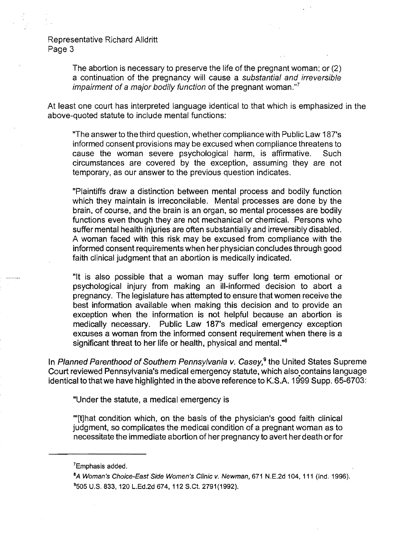Representative Richard Alldritt Page 3

> The abortion is necessary to preserve the life of the pregnant woman; or (2) a continuation of the pregnancy will cause a substantial and irreversible impairment of a major bodily function of the pregnant woman. $"$

At least one court has interpreted language identical to that which is emphasized in the above-quoted statute to include mental functions:

"The answer to the third question, whether compliance with Public Law 187's informed consent provisions may be excused when compliance threatens to cause the woman severe psychological harm, is affirmative. Such circumstances are covered by the exception, assuming they are not temporary, as our answer to the previous question indicates.

"Plaintiffs draw a distinction between mental process and bodily function which they maintain is irreconcilable. Mental processes are done by the brain, of course, and the brain is an organ, so mental processes are bodily functions even though they are not mechanical or chemical. Persons who suffer mental health injuries are often substantially and irreversibly disabled. A woman faced with this risk may be excused from compliance with the informed consent requirements when her physician concludes through good faith clinical judgment that an abortion is medically indicated.

"It is also possible that a woman may suffer long term emotional or psychological injury from making an ill-informed decision to abort a pregnancy. The legislature has attempted to ensure that women receive the best information available when making this decision and to provide an exception when the information is not helpful because an abortion is medically necessary. Public Law 187's medical emergency exception excuses a woman from the informed consent requirement when there is a significant threat to her life or health, physical and mental.<sup>48</sup>

In Planned Parenthood of Southern Pennsylvania v. Casey,<sup>9</sup> the United States Supreme Court reviewed Pennsylvania's medical emergency statute, which also.contains language identical to that we have highlighted in the above reference to K:S.A. 1999 Supp. 65-6703:

"Under the statute, a medical emergency is

"'[t]hat condition which, on the basis of the physician's good faith clinical judgment, so complicates the medical condition of a pregnant woman as to necessitate the immediate abortion of her pregnancy to avert her death or for

<sup>7</sup>Emphasis added.

<sup>&</sup>lt;sup>8</sup>A Woman's Choice-East Side Women's Clinic v. Newman, 671 N.E.2d 104, 111 (Ind. 1996). 9505 U.S. 833,120 L.Ed.2d 674,112 S.Ct. 2791(1992).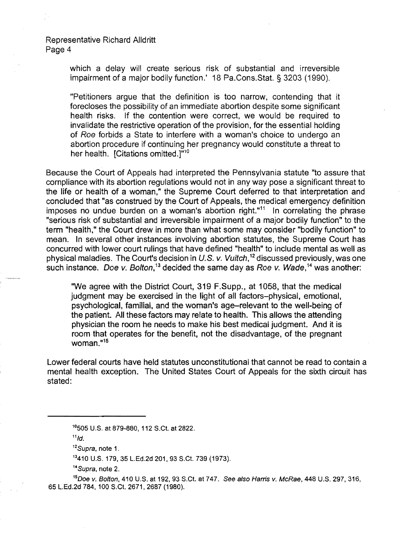Representative Richard Alldritt Page 4

> which a delay will create serious risk of substantial and irreversible impairment of a major bodily function.' 18 Pa.Cons.Stat. § 3203 (1990).

> "Petitioners argue that the definition is too narrow, contending that it forecloses the possibility of an immediate abortion despite some significant health risks. If the contention were correct, we would be required to invalidate the restrictive operation of the provision, for the essential holding of Roe forbids a State to interfere with a woman's choice to undergo an abortion procedure if continuing her pregnancy would constitute a threat to her health. [Citations omitted.] $n^{10}$

Because the Court of Appeals had interpreted the Pennsylvania statute "to assure that compliance with its abortion regulations would not in any way pose a significant threat to the life or health of a woman," the Supreme Court deferred to that interpretation and concluded that "as construed by the Court of Appeals, the medical emergency definition imposes no undue burden on a woman's abortion right."<sup>11</sup> In correlating the phrase "serious risk of substantial and irreversible impairment of a major bodily function" to the term "health," the Court drew in more than what some may consider "bodily function" to mean. In several other instances involving abortion statutes, the Supreme Court has concurred with lower court rulings that have defined "health" to include mental as well as physical maladies. The Court's decision in U.S. v. Vuitch,<sup>12</sup> discussed previously, was one such instance. Doe v. Bolton,<sup>13</sup> decided the same day as Roe v. Wade,<sup>14</sup> was another:

"We agree with the District Court, 319 F.Supp., at 1058, that the medical judgment may be exercised in the light of all factors-physical, emotional, psychological, familial, and the woman's age-relevant to the well-being of the patient. All these factors may relate to health. This allows the attending physician the room he needs to make his best medical judgment. And it is room that operates for the benefit, not the disadvantage, of the pregnant woman."<sup>15</sup>

Lower federal courts have held statutes unconstitutional that cannot be read to contain a mental health exception. The United States Court of Appeals for the sixth circuit has stated:

 $11d$ .

<sup>14</sup>Supra, note 2.

<sup>1°505</sup> U.S. at 879-880, 112 S.Ct. at 2822.

<sup>&</sup>lt;sup>12</sup>Supra, note 1.

<sup>13</sup>410 U.S. 179,35 L.Ed.2d 201, 93 S.Ct. 739 (1973).

<sup>&</sup>lt;sup>15</sup>Doe v. Bolton, 410 U.S. at 192, 93 S.Ct. at 747. See also Harris v. McRae, 448 U.S. 297, 316, 65 L.Ed.2d 784, 100 S.Ct. 2671, 2687 (1980).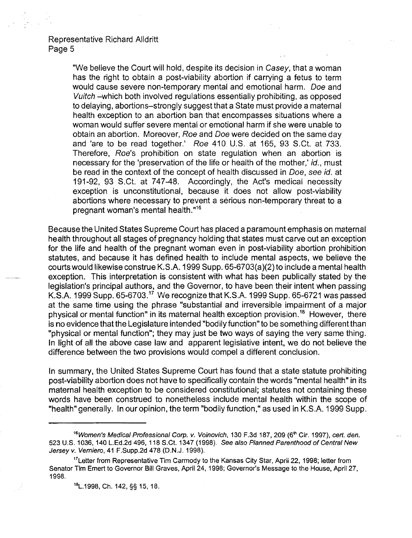Representative Richard Alldritl Page 5

> "We believe the Court will hold, despite its decision in Casey, that a woman has the right to obtain a post-viability abortion if carrying a fetus to term would cause severe non-temporary mental and emotional harm. Doe and Vuitch -which both involved regulations essentially prohibiting, as opposed to delaying, abortions-strongly suggest that a State must provide a maternal health exception to an abortion ban that encompasses situations where a woman would suffer severe mental or emotional harm if she were unable to obtain an abortion. Moreover, Roe and Doe were decided on the same day and 'are to be read together.' Roe 410 U.S. at 165, 93 S.Ct. at 733. Therefore, Roe's prohibition on state regulation when an abortion is necessary for the 'preservation of the life or health of the mother,' id., must be read in the context of the concept of health discussed in Doe, see id. at 191-92, 93 S.Ct. at 747-48. Accordingly, the Act's medical necessity exception is unconstitutional, because it does not allow post-viability abortions where necessary to prevent a serious non-temporary threat to a pregnant woman's mental health."16

Because the United States Supreme Court has placed a paramount emphasis on maternal health throughout all stages of pregnancy holding that states must carve out an exception for the life and health of the pregnant woman even in post-viability abortion prohibition statutes, and because it has defined health to include mental aspects, we believe the courts would likewise construe K.S.A. 1999 Supp. 65-6703(a}(2} to include a mental health exception. This interpretation is consistent with what has been publically stated by the legislation's principal authors, and the Governor, to have been their intent when passing K.S.A. 1999 Supp. 65-6703.<sup>17</sup> We recognize that K.S.A. 1999 Supp. 65-6721 was passed at the same time using the phrase "substantial and irreversible impairment of a major physical or mental function" in its maternal health exception provision.<sup>18</sup> However, there is no evidence that the Legislature intended "bodily function" to be something different than "physical or mental function"; they may just be two ways of saying the very same thing. In light of all the above case law and apparent legislative intent, we do not believe the difference between the two provisions would compel a different conclusion.

In summary, the United States Supreme Court has found that a state statute prohibiting post-viability abortion does not have to specifically contain the words "mental health" in its maternal health exception to be considered constitutional; statutes not containing these words have been construed to nonetheless include mental health within the scope of "health" generally. **In** our opinion, the term "bodily function," as used in K.S.A. 1999 Supp.

<sup>&</sup>lt;sup>16</sup>Women's Medical Professional Corp. v. Voinovich, 130 F.3d 187, 209 (6<sup>th</sup> Cir. 1997), cert. den. 523 U.S. 1036, 140 L.Ed.2d 496,118 S.Ct. 1347 (1998). See also Planned Parenthood of Central New Jersey v. Vemiero, 41 F.Supp.2d 478 (O.N.J. 1998).

<sup>&</sup>lt;sup>17</sup>Letter from Representative Tim Carmody to the Kansas City Star, April 22, 1998; letter from Senator Tim Emert to Governor Bill Graves, April 24, 1998; Governor's Message to the House, April 27, 1998.

<sup>18</sup>L.1998, Ch. 142, §§ 15,18.